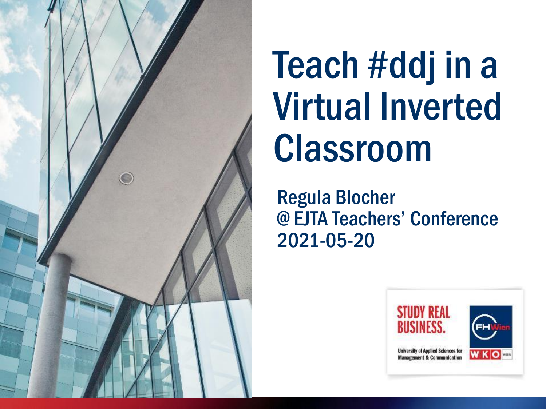

# Teach #ddj in a Virtual Inverted Classroom

Regula Blocher @ EJTA Teachers' Conference 2021-05-20

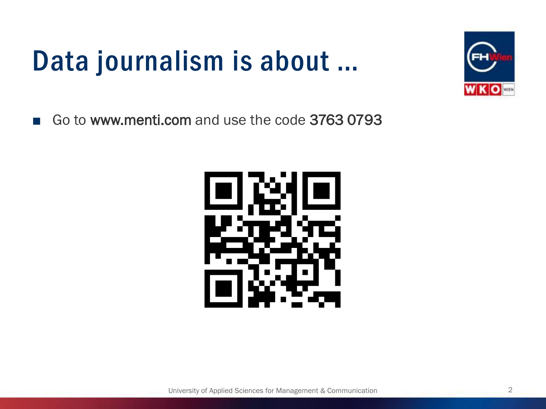### Data journalism is about …



■ Go to www.menti.com and use the code 3763 0793

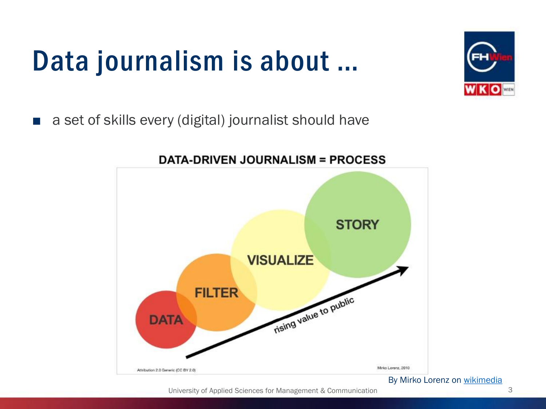### Data journalism is about …



■ a set of skills every (digital) journalist should have



#### **DATA-DRIVEN JOURNALISM = PROCESS**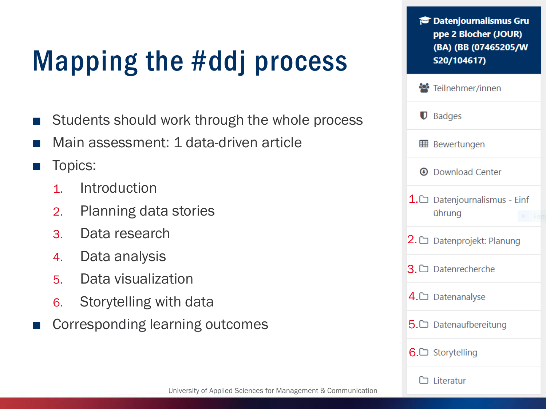## Mapping the #ddj process

- Students should work through the whole process
- Main assessment: 1 data-driven article
- Topics:
	- 1. Introduction
	- 2. Planning data stories
	- 3. Data research
	- 4. Data analysis
	- 5. Data visualization
	- 6. Storytelling with data
- Corresponding learning outcomes

| <b>Patenjournalismus Gru</b><br>ppe 2 Blocher (JOUR)<br>(BA) (BB (07465205/W<br>S20/104617) |
|---------------------------------------------------------------------------------------------|
| Teilnehmer/innen                                                                            |
| $\mathbf{\mathbb{U}}$ Badges                                                                |
| <b>⊞</b> Bewertungen                                                                        |
| <b>4</b> Download Center                                                                    |
| 1. $\Box$ Datenjournalismus - Einf<br>ührung                                                |
| $2. \Box$ Datenprojekt: Planung                                                             |
| $3. \Box$ Datenrecherche                                                                    |
| $4. \Box$ Datenanalyse                                                                      |
| 5. $\Box$ Datenaufbereitung                                                                 |
| 6.□ Storytelling                                                                            |
| $\Box$ Literatur                                                                            |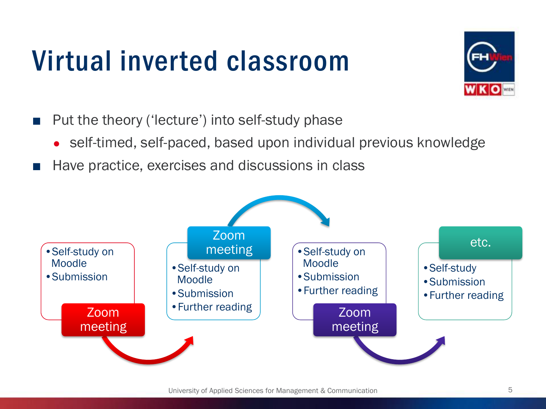### Virtual inverted classroom



- Put the theory ('lecture') into self-study phase
	- self-timed, self-paced, based upon individual previous knowledge
- Have practice, exercises and discussions in class

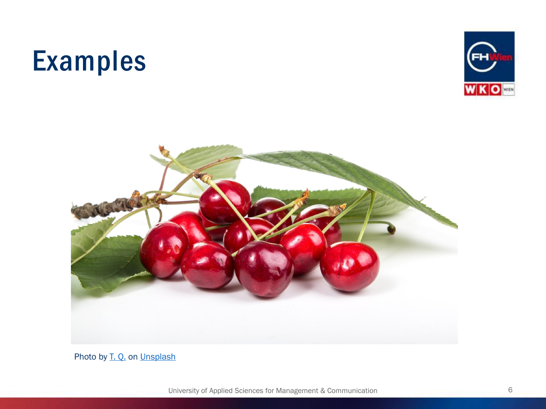#### Examples





Photo by [T. Q.](https://unsplash.com/@tq_photos?utm_source=unsplash&utm_medium=referral&utm_content=creditCopyText) on [Unsplash](https://unsplash.com/s/photos/cherry?utm_source=unsplash&utm_medium=referral&utm_content=creditCopyText)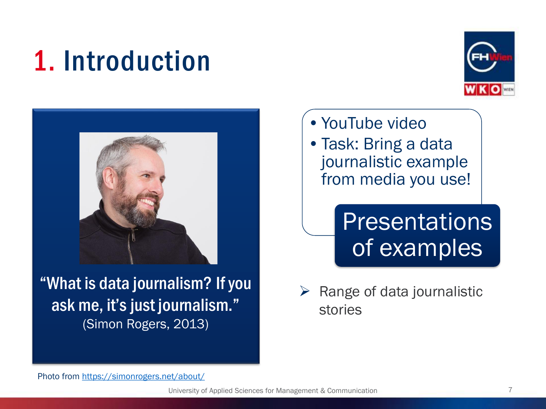### 1. Introduction





"What is data journalism? If you ask me, it's just journalism." (Simon Rogers, 2013)

- •YouTube video
- •Task: Bring a data journalistic example from media you use!

#### **Presentations** of examples

 $\triangleright$  Range of data journalistic stories

Photo from<https://simonrogers.net/about/>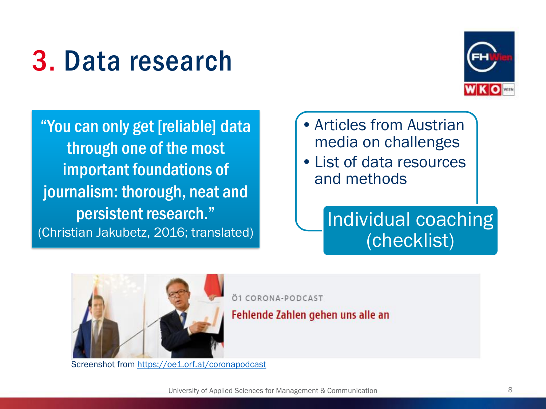### 3. Data research



"You can only get [reliable] data through one of the most important foundations of journalism: thorough, neat and persistent research." (Christian Jakubetz, 2016; translated)

- •Articles from Austrian media on challenges
- •List of data resources and methods

#### Individual coaching (checklist)



Screenshot from <https://oe1.orf.at/coronapodcast>

Ö1 CORONA-PODCAST

Fehlende Zahlen gehen uns alle an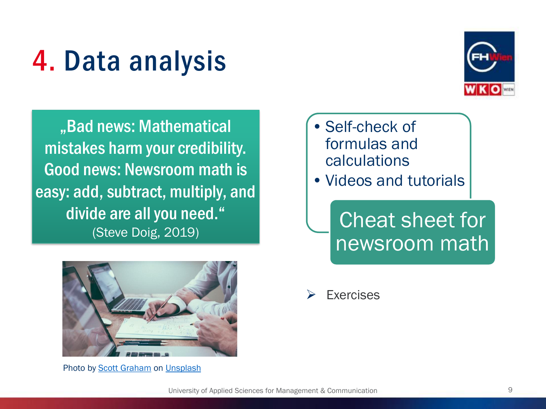### 4. Data analysis



"Bad news: Mathematical mistakes harm your credibility. Good news: Newsroom math is easy: add, subtract, multiply, and divide are all you need." (Steve Doig, 2019)



Photo by [Scott Graham](https://unsplash.com/@homajob?utm_source=unsplash&utm_medium=referral&utm_content=creditCopyText) on [Unsplash](https://unsplash.com/s/photos/math?utm_source=unsplash&utm_medium=referral&utm_content=creditCopyText)

- •Self-check of formulas and calculations
- Videos and tutorials

Cheat sheet for newsroom math

Exercises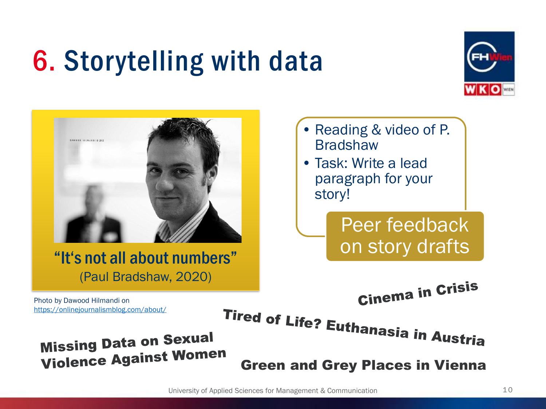### 6. Storytelling with data





#### "It's not all about numbers" (Paul Bradshaw, 2020)

- Reading & video of P. **Bradshaw**
- Task: Write a lead paragraph for your story!

Peer feedback on story drafts

**Cinema in Crisis** 

Photo by Dawood Hilmandi on <https://onlinejournalismblog.com/about/>

**Tired of Life? Euthanasia in Austria** 

#### **Missing Data on Sexual Violence Against Women**

Green and Grey Places in Vienna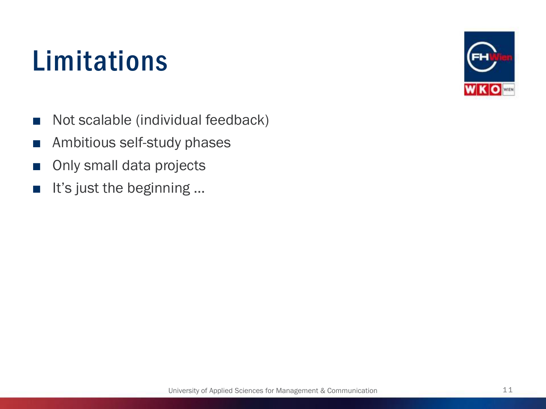### Limitations



- Not scalable (individual feedback)
- Ambitious self-study phases
- Only small data projects
- It's just the beginning ...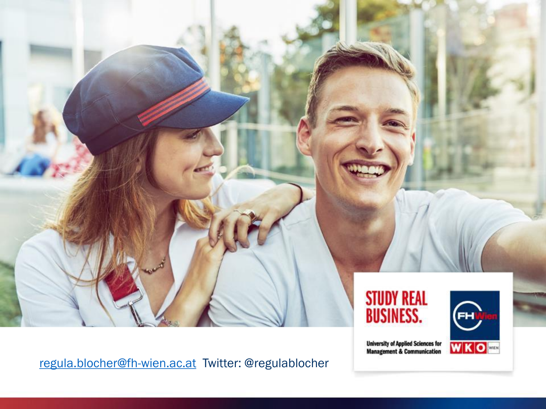

[regula.blocher@fh-wien.ac.at](mailto:regula.blocher@fh-wien.ac.at) Twitter: @regulablocher

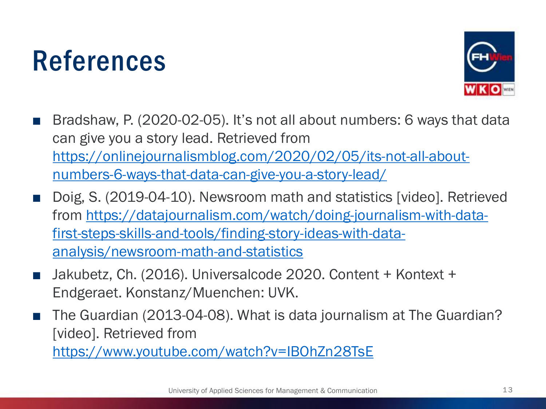#### References



- Bradshaw, P. (2020-02-05). It's not all about numbers: 6 ways that data can give you a story lead. Retrieved from [https://onlinejournalismblog.com/2020/02/05/its-not-all-about](https://onlinejournalismblog.com/2020/02/05/its-not-all-about-numbers-6-ways-that-data-can-give-you-a-story-lead/)numbers-6-ways-that-data-can-give-you-a-story-lead/
- Doig, S. (2019-04-10). Newsroom math and statistics [video]. Retrieved [from https://datajournalism.com/watch/doing-journalism-with-data](https://datajournalism.com/watch/doing-journalism-with-data-first-steps-skills-and-tools/finding-story-ideas-with-data-analysis/newsroom-math-and-statistics)first-steps-skills-and-tools/finding-story-ideas-with-dataanalysis/newsroom-math-and-statistics
- Jakubetz, Ch. (2016). Universalcode 2020. Content + Kontext + Endgeraet. Konstanz/Muenchen: UVK.
- The Guardian (2013-04-08). What is data journalism at The Guardian? [video]. Retrieved from <https://www.youtube.com/watch?v=IBOhZn28TsE>